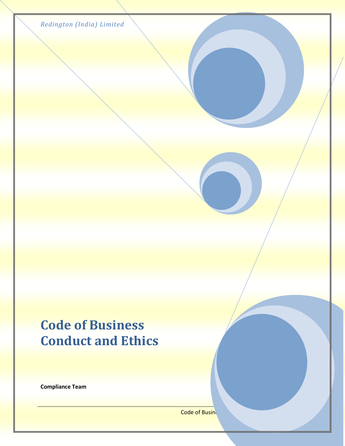| Redington (India) Limited |  |  |  |
|---------------------------|--|--|--|
|---------------------------|--|--|--|

## **Code of Business Conduct and Ethics**

**Compliance Team**

Code of Busines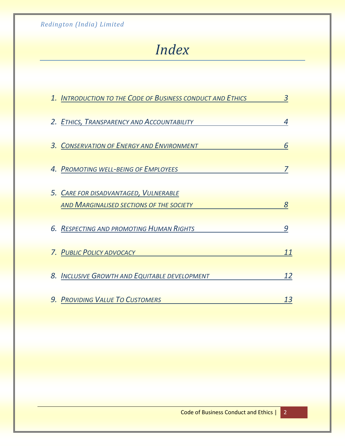# *Index*

| 1. INTRODUCTION TO THE CODE OF BUSINESS CONDUCT AND ETHICS                        | 3  |
|-----------------------------------------------------------------------------------|----|
| 2. ETHICS, TRANSPARENCY AND ACCOUNTABILITY                                        | 4  |
| 3. CONSERVATION OF ENERGY AND ENVIRONMENT                                         | 6  |
| 4. PROMOTING WELL-BEING OF EMPLOYEES                                              |    |
| 5. CARE FOR DISADVANTAGED, VULNERABLE<br>AND MARGINALISED SECTIONS OF THE SOCIETY | 8  |
| 6. RESPECTING AND PROMOTING HUMAN RIGHTS                                          | 9  |
| 7. PUBLIC POLICY ADVOCACY                                                         | 11 |
| 8. INCLUSIVE GROWTH AND EQUITABLE DEVELOPMENT                                     | 12 |
| 9. PROVIDING VALUE TO CUSTOMERS                                                   | 13 |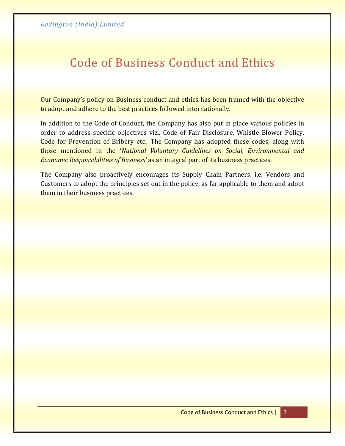### Code of Business Conduct and Ethics

Our Company's policy on Business conduct and ethics has been framed with the objective to adopt and adhere to the best practices followed internationally.

In addition to the Code of Conduct, the Company has also put in place various policies in order to address specific objectives viz., Code of Fair Disclosure, Whistle Blower Policy, Code for Prevention of Bribery etc., The Company has adopted these codes, along with those mentioned in the '*National Voluntary Guidelines on Social, Environmental and Economic Responsibilities of Business'* as an integral part of its business practices.

The Company also proactively encourages its Supply Chain Partners, i.e. Vendors and Customers to adopt the principles set out in the policy, as far applicable to them and adopt them in their business practices.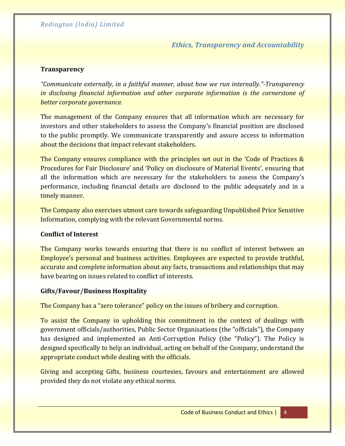*Ethics, Transparency and Accountability*

#### **Transparency**

*"Communicate externally, in a faithful manner, about how we run internally."-Transparency in disclosing financial information and other corporate information is the cornerstone of better corporate governance.* 

The management of the Company ensures that all information which are necessary for investors and other stakeholders to assess the Company's financial position are disclosed to the public promptly. We communicate transparently and assure access to information about the decisions that impact relevant stakeholders.

The Company ensures compliance with the principles set out in the 'Code of Practices & Procedures for Fair Disclosure' and 'Policy on disclosure of Material Events', ensuring that all the information which are necessary for the stakeholders to assess the Company's performance, including financial details are disclosed to the public adequately and in a timely manner.

The Company also exercises utmost care towards safeguarding Unpublished Price Sensitive Information, complying with the relevant Governmental norms.

#### **Conflict of Interest**

The Company works towards ensuring that there is no conflict of interest between an Employee's personal and business activities. Employees are expected to provide truthful, accurate and complete information about any facts, transactions and relationships that may have bearing on issues related to conflict of interests.

#### **Gifts/Favour/Business Hospitality**

The Company has a "zero tolerance" policy on the issues of bribery and corruption.

To assist the Company in upholding this commitment in the context of dealings with government officials/authorities, Public Sector Organisations (the "officials"), the Company has designed and implemented an Anti-Corruption Policy (the "Policy"). The Policy is designed specifically to help an individual, acting on behalf of the Company, understand the appropriate conduct while dealing with the officials.

Giving and accepting Gifts, business courtesies, favours and entertainment are allowed provided they do not violate any ethical norms.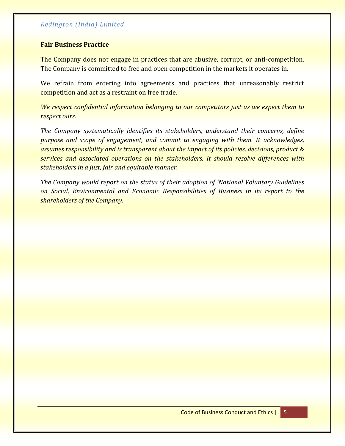#### **Fair Business Practice**

The Company does not engage in practices that are abusive, corrupt, or anti-competition. The Company is committed to free and open competition in the markets it operates in.

We refrain from entering into agreements and practices that unreasonably restrict competition and act as a restraint on free trade.

*We respect confidential information belonging to our competitors just as we expect them to respect ours*.

*The Company systematically identifies its stakeholders, understand their concerns, define purpose and scope of engagement, and commit to engaging with them. It acknowledges, assumes responsibility and is transparent about the impact of its policies, decisions, product & services and associated operations on the stakeholders. It should resolve differences with stakeholders in a just, fair and equitable manner.*

*The Company would report on the status of their adoption of 'National Voluntary Guidelines on Social, Environmental and Economic Responsibilities of Business in its report to the shareholders of the Company.*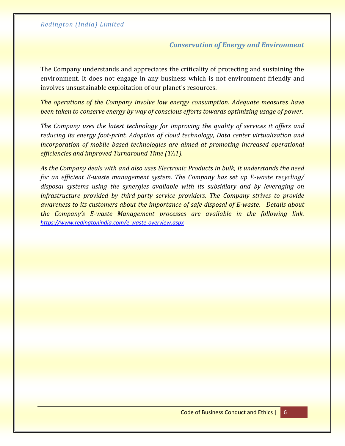#### *Conservation of Energy and Environment*

The Company understands and appreciates the criticality of protecting and sustaining the environment. It does not engage in any business which is not environment friendly and involves unsustainable exploitation of our planet's resources.

*The operations of the Company involve low energy consumption. Adequate measures have been taken to conserve energy by way of conscious efforts towards optimizing usage of power.*

*The Company uses the latest technology for improving the quality of services it offers and reducing its energy foot-print. Adoption of cloud technology, Data center virtualization and incorporation of mobile based technologies are aimed at promoting increased operational efficiencies and improved Turnaround Time (TAT).*

*As the Company deals with and also uses Electronic Products in bulk, it understands the need for an efficient E-waste management system. The Company has set up E-waste recycling/ disposal systems using the synergies available with its subsidiary and by leveraging on infrastructure provided by third-party service providers. The Company strives to provide awareness to its customers about the importance of safe disposal of E-waste. Details about the Company's E-waste Management processes are available in the following link. <https://www.redingtonindia.com/e-waste-overview.aspx>*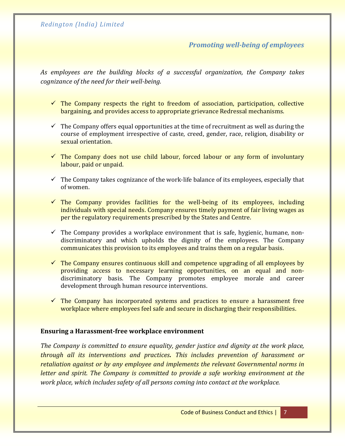#### *Promoting well-being of employees*

*As employees are the building blocks of a successful organization, the Company takes cognizance of the need for their well-being.*

- $\checkmark$  The Company respects the right to freedom of association, participation, collective bargaining, and provides access to appropriate grievance Redressal mechanisms.
- $\checkmark$  The Company offers equal opportunities at the time of recruitment as well as during the course of employment irrespective of caste, creed, gender, race, religion, disability or sexual orientation.
- $\checkmark$  The Company does not use child labour, forced labour or any form of involuntary labour, paid or unpaid.
- $\checkmark$  The Company takes cognizance of the work-life balance of its employees, especially that of women.
- $\checkmark$  The Company provides facilities for the well-being of its employees, including individuals with special needs. Company ensures timely payment of fair living wages as per the regulatory requirements prescribed by the States and Centre.
- $\checkmark$  The Company provides a workplace environment that is safe, hygienic, humane, nondiscriminatory and which upholds the dignity of the employees. The Company communicates this provision to its employees and trains them on a regular basis.
- $\checkmark$  The Company ensures continuous skill and competence upgrading of all employees by providing access to necessary learning opportunities, on an equal and nondiscriminatory basis. The Company promotes employee morale and career development through human resource interventions.
- $\checkmark$  The Company has incorporated systems and practices to ensure a harassment free workplace where employees feel safe and secure in discharging their responsibilities.

#### **Ensuring a Harassment-free workplace environment**

*The Company is committed to ensure equality, gender justice and dignity at the work place, through all its interventions and practices. This includes prevention of harassment or retaliation against or by any employee and implements the relevant Governmental norms in letter and spirit. The Company is committed to provide a safe working environment at the work place, which includes safety of all persons coming into contact at the workplace.*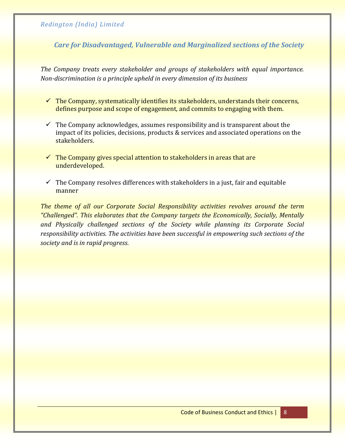*Care for Disadvantaged, Vulnerable and Marginalized sections of the Society*

*The Company treats every stakeholder and groups of stakeholders with equal importance. Non-discrimination is a principle upheld in every dimension of its business*

- $\checkmark$  The Company, systematically identifies its stakeholders, understands their concerns, defines purpose and scope of engagement, and commits to engaging with them.
- $\checkmark$  The Company acknowledges, assumes responsibility and is transparent about the impact of its policies, decisions, products & services and associated operations on the stakeholders.
- $\checkmark$  The Company gives special attention to stakeholders in areas that are underdeveloped.
- $\checkmark$  The Company resolves differences with stakeholders in a just, fair and equitable manner

*The theme of all our Corporate Social Responsibility activities revolves around the term "Challenged". This elaborates that the Company targets the Economically, Socially, Mentally and Physically challenged sections of the Society while planning its Corporate Social responsibility activities. The activities have been successful in empowering such sections of the society and is in rapid progress*.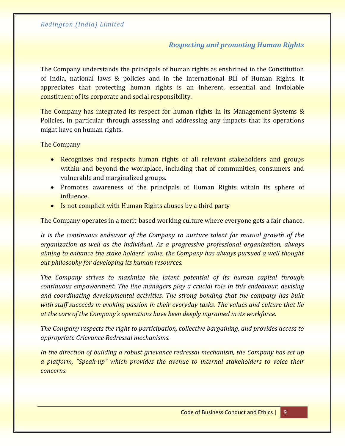#### *Respecting and promoting Human Rights*

The Company understands the principals of human rights as enshrined in the Constitution of India, national laws & policies and in the International Bill of Human Rights. It appreciates that protecting human rights is an inherent, essential and inviolable constituent of its corporate and social responsibility.

The Company has integrated its respect for human rights in its Management Systems & Policies, in particular through assessing and addressing any impacts that its operations might have on human rights.

The Company

- Recognizes and respects human rights of all relevant stakeholders and groups within and beyond the workplace, including that of communities, consumers and vulnerable and marginalized groups.
- Promotes awareness of the principals of Human Rights within its sphere of influence.
- Is not complicit with Human Rights abuses by a third party

The Company operates in a merit-based working culture where everyone gets a fair chance.

*It is the continuous endeavor of the Company to nurture talent for mutual growth of the organization as well as the individual. As a progressive professional organization, always aiming to enhance the stake holders' value, the Company has always pursued a well thought out philosophy for developing its human resources.*

*The Company strives to maximize the latent potential of its human capital through continuous empowerment. The line managers play a crucial role in this endeavour, devising and coordinating developmental activities. The strong bonding that the company has built with staff succeeds in evoking passion in their everyday tasks. The values and culture that lie at the core of the Company's operations have been deeply ingrained in its workforce.*

*The Company respects the right to participation, collective bargaining, and provides access to appropriate Grievance Redressal mechanisms.*

*In the direction of building a robust grievance redressal mechanism, the Company has set up a platform, "Speak-up" which provides the avenue to internal stakeholders to voice their concerns.*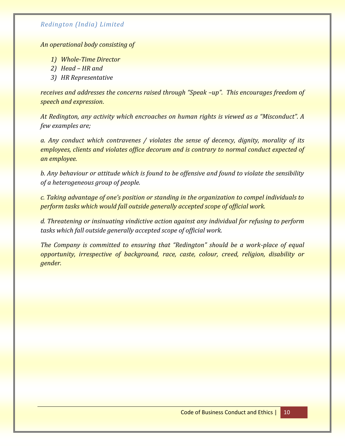*An operational body consisting of* 

- *1) Whole-Time Director*
- *2) Head – HR and*
- *3) HR Representative*

*receives and addresses the concerns raised through "Speak –up". This encourages freedom of speech and expression.*

*At Redington, any activity which encroaches on human rights is viewed as a "Misconduct". A few examples are;*

*a. Any conduct which contravenes / violates the sense of decency, dignity, morality of its employees, clients and violates office decorum and is contrary to normal conduct expected of an employee.*

*b. Any behaviour or attitude which is found to be offensive and found to violate the sensibility of a heterogeneous group of people.*

*c. Taking advantage of one's position or standing in the organization to compel individuals to perform tasks which would fall outside generally accepted scope of official work.*

*d. Threatening or insinuating vindictive action against any individual for refusing to perform tasks which fall outside generally accepted scope of official work.*

*The Company is committed to ensuring that "Redington" should be a work-place of equal opportunity, irrespective of background, race, caste, colour, creed, religion, disability or gender.*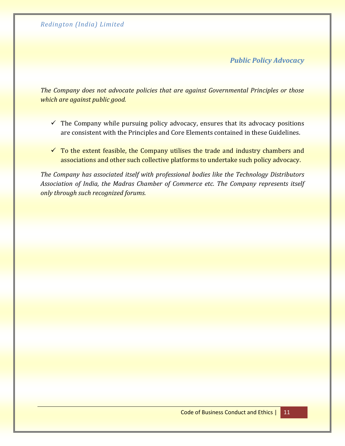*Public Policy Advocacy*

*The Company does not advocate policies that are against Governmental Principles or those which are against public good.* 

- $\checkmark$  The Company while pursuing policy advocacy, ensures that its advocacy positions are consistent with the Principles and Core Elements contained in these Guidelines.
- $\checkmark$  To the extent feasible, the Company utilises the trade and industry chambers and associations and other such collective platforms to undertake such policy advocacy.

*The Company has associated itself with professional bodies like the Technology Distributors Association of India, the Madras Chamber of Commerce etc. The Company represents itself only through such recognized forums.*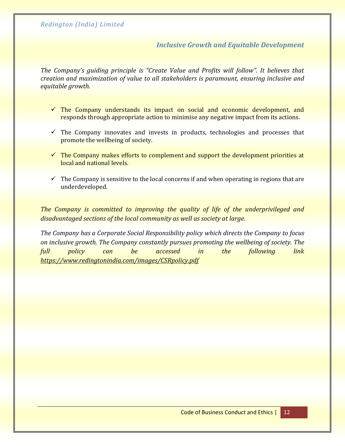#### *Inclusive Growth and Equitable Development*

*The Company's guiding principle is "Create Value and Profits will follow". It believes that creation and maximization of value to all stakeholders is paramount, ensuring inclusive and equitable growth.*

- $\checkmark$  The Company understands its impact on social and economic development, and responds through appropriate action to minimise any negative impact from its actions.
- $\checkmark$  The Company innovates and invests in products, technologies and processes that promote the wellbeing of society.
- $\checkmark$  The Company makes efforts to complement and support the development priorities at local and national levels.
- $\checkmark$  The Company is sensitive to the local concerns if and when operating in regions that are underdeveloped.

*The Company is committed to improving the quality of life of the underprivileged and disadvantaged sections of the local community as well as society at large.*

*The Company has a Corporate Social Responsibility policy which directs the Company to focus on inclusive growth. The Company constantly pursues promoting the wellbeing of society. The full policy can be accessed in the following link <https://www.redingtonindia.com/images/CSRpolicy.pdf>*